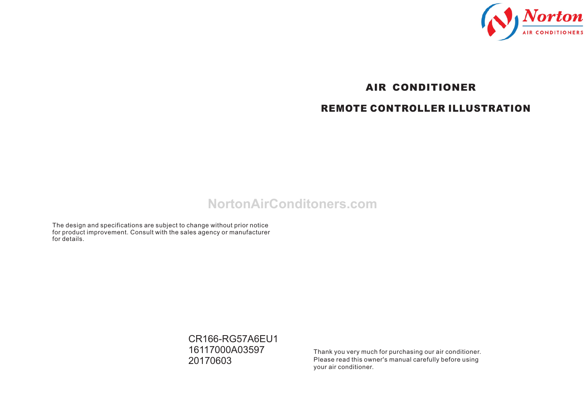

# *AIR CONDITIONER REMOTE CONTROLLER ILLUSTRATION*

## **NortonAirConditoners.com**

The design and specifications are subject to change without prior notice for product improvement. Consult with the sales agency or manufacturer for details.

> CR166-RG57A6EU1 16117000A03597 20170603

Thank you very much for purchasing our air conditioner. Please read this owner's manual carefully before using your air conditioner.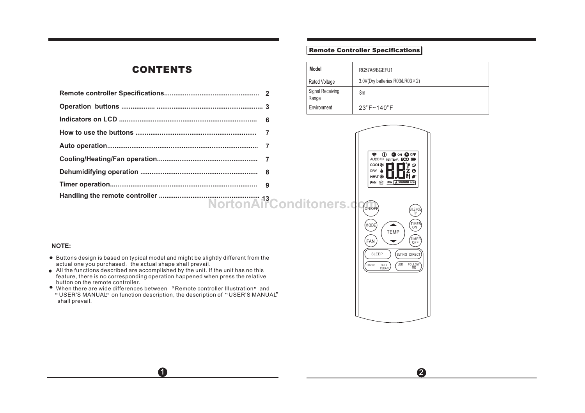## *CONTENTS*

|  | Signal Receiving<br>Range | 8m                |
|--|---------------------------|-------------------|
|  | Environment               | $23^{\circ}$ F~   |
|  |                           |                   |
|  |                           |                   |
|  |                           |                   |
|  |                           | <b>AUT</b><br>COC |
|  |                           | DRY<br>HEA        |
|  |                           | FAN               |
|  |                           |                   |

## *Remote Controller Specifications*

| <b>Model</b>              | RG57A6/BGEFU1                           |
|---------------------------|-----------------------------------------|
| <b>Rated Voltage</b>      | 3.0V(Dry batteries R03/LR03 $\times$ 2) |
| Signal Receiving<br>Range | 8m                                      |
| Environment               | $23^{\circ}$ F~140 $^{\circ}$ F         |



2

- Buttons design is based on typical model and might be slightly different from the actual one you purchased, the actual shape shall prevail.
- All the functions described are accomplished by the unit. If the unit has no this feature, there is no corresponding operation happened when press the relative button on the remote controller.
- button on the remote controller.<br>When there are wide differences between "Remote controller Illustration" and When there are wide differences between "Remote controller Illustration" and<br>"USER'S MANUAL" on function description, the description of "USER'S MANUAL" shall prevail.

 $\mathbf 0$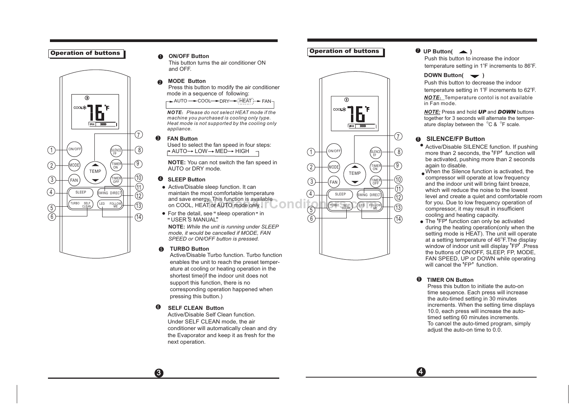#### *Operation of buttons*



#### $\bullet$ **ON/OFF Button**

This button turns the air conditioner ON and OFF.

#### 6 **MODE Button**

 Press this button to modify the air conditioner mode in a sequence of following:

 $\rightarrow$  AUTO  $\rightarrow$  COOL  $\rightarrow$  DRY  $\rightarrow$  HEAT  $\rightarrow$  FAN L

*NOTE*:*Please do not select HEAT mode if the machine you purchased is cooling only type. Heat mode is not supported by the cooling only appliance.*

#### $\Omega$ **FAN Button**

Used to select the fan speed in four steps:

 $2 + \frac{(\text{MODE})}{(\text{N})}$   $(2 + \frac{(\text{MDE})}{(\text{N})})$  TIMER<br>AUTO or DRY mode.  $2 + \frac{(\text{MODE})}{(\text{N})}$   $(2 + \frac{(\text{MODE})}{(\text{N})})$  $\overline{O}$  **NOTE:** You can not switch the fan speed in  $\overline{O}$  (MODE)  $\overline{O}$  (TIMER  $\overline{O}$  **NOTE:** You can not switch the fan speed in

- 4) CONTROLLER SURVERS (11) CONTROLLER MAINTAIN CONTROLLER MAINTAIN CONTROLLER MAINTAIN CONTROLLER MAIN CONTROLLER MAIN CONTROLLER MAIN CONTROLLER (12) and save energy. This function is available
	-

**NOTE:** *While the unit is running under SLEEP mode, it would be cancelled if MODE, FAN SPEED or ON/OFF button is pressed.*

#### 5 **TURBO Button**

Active/Disable Turbo function. Turbo function enables the unit to reach the preset temperature at cooling or heating operation in the shortest time(if the indoor unit does not support this function, there is no corresponding operation happened when pressing this button.)

#### **SELF CLEAN Button** 6

Active/Disable Self Clean function. Under SELF CLEAN mode, the air conditioner will automatically clean and dry the Evaporator and keep it as fresh for the next operation.

 $\overline{3}$   $\overline{4}$ 

## *Operation of buttons*



#### **D** UP Button(  $\rightarrow$  )

Push this button to increase the indoor temperature setting in 1°F increments to 86°F.

#### **DOWN Button(**  $\rightarrow$  )

Push this button to decrease the indoor temperature setting in 1°F increments to 62°F. **NOTE:** Temperature contol is not available in Fan mode.

*NOTE:* Press and hold *UP* and *DOWN* buttons together for 3 seconds will alternate the temperature display between the  $^{\circ}$ C &  $^{\circ}$ F scale.

#### 8 **SILENCE/FP Button**

- Active/Disable SILLIVCL function. If pushing<br>more than 2 seconds, the 'FP' function will Active/Disable SILENCE function. If pushing be activated, pushing more than 2 seconds again to disable.
- When the Silence function is activated, the compressor will operate at low frequency and the indoor unit will bring faint breeze, which will reduce the noise to the lowest level and create a quiet and comfortable room for you. Due to low frequency operation of compressor, it may result in insufficient cooling and heating capacity.
- at a setting temperature of 46 F. I ne display<br>window of indoor unit will display 'FP' .Press FAN SPEED, UP or DOWN \<br>will cancel the 'FP' function. cooling and nealing capacity.<br>The <sup>t</sup>FP' function can only be activated during the heating operation(only when the setting mode is HEAT). The unit will operate at a setting temperature of 46 $\mathrm{^{\circ}F}.$  The display the buttons of ON/OFF, SLEEP, FP, MODE, FAN SPEED, UP or DOWN while operating

#### **TIMER ON Button**  9

Press this button to initiate the auto-on time sequence. Each press will increase the auto-timed setting in 30 minutes increments. When the setting time displays 10.0, each press will increase the autotimed setting 60 minutes increments. To cancel the auto-timed program, simply adjust the auto-on time to 0.0.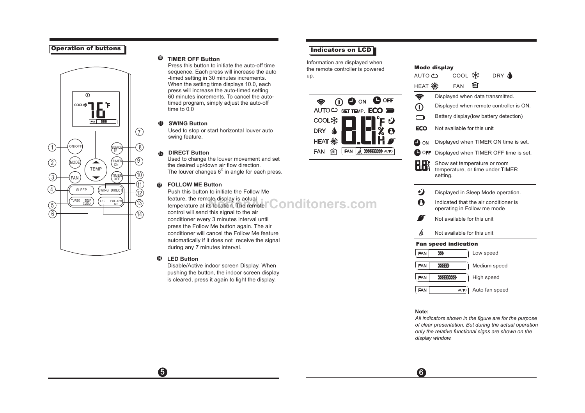#### *Operation of buttons*



#### $\n *W*$  **TIMER OFF Button**

Press this button to initiate the auto-off time sequence. Each press will increase the auto -timed setting in 30 minutes increments. When the setting time displays 10.0, each press will increase the auto-timed setting 60 minutes increments. To cancel the autotimed program, simply adjust the auto-off time to 0.0

#### $\mathbf 0$  **SWING Button**

Used to stop or start horizontal louver auto swing feature.

#### 12  **DIRECT Button**

Used to change the louver movement and set the desired up/down air flow direction. The louver changes  $6^{\circ}$  in angle for each press.

#### 13 **FOLLOW ME Button**

Push this button to initiate the Follow Me feature, the remote display is actual tenuite, the remote display is actual temperature at its location. The remote **CONDITONETS.COM** control will send this signal to the air

 $\overline{5}$  6

conditioner every 3 minutes interval until press the Follow Me button again. The air conditioner will cancel the Follow Me feature automatically if it does not receive the signal during any 7 minutes interval.

#### 14 **LED Button**

Disable/Active indoor screen Display. When pushing the button, the indoor screen display is cleared, press it again to light the display.

## *Indicators on LCD*

Information are displayed when the remote controller is powered up.



| AUTO む                      | coor 米                                                                       |            | DRY A          |  |  |  |
|-----------------------------|------------------------------------------------------------------------------|------------|----------------|--|--|--|
|                             | <b>FAN</b>                                                                   | জ          |                |  |  |  |
| Ç                           | Displayed when data transmitted.                                             |            |                |  |  |  |
| $\mathbb O$                 | Displayed when remote controller is ON.                                      |            |                |  |  |  |
| ∍                           | Battery display(low battery detection)                                       |            |                |  |  |  |
| <b>ECO</b>                  | Not available for this unit                                                  |            |                |  |  |  |
| $\blacksquare$ on           | Displayed when TIMER ON time is set.                                         |            |                |  |  |  |
| <b>D</b> OFF                | Displayed when TIMER OFF time is set.                                        |            |                |  |  |  |
| H Hä                        | Show set temperature or room<br>temperature, or time under TIMER<br>setting. |            |                |  |  |  |
| Ü                           | Displayed in Sleep Mode operation.                                           |            |                |  |  |  |
| 0                           | Indicated that the air conditioner is<br>operating in Follow me mode         |            |                |  |  |  |
|                             | Not available for this unit                                                  |            |                |  |  |  |
| á                           | Not available for this unit                                                  |            |                |  |  |  |
| <b>Fan speed indication</b> |                                                                              |            |                |  |  |  |
| FAN                         | »                                                                            | Low speed  |                |  |  |  |
| <b>FAN</b>                  | $\langle$                                                                    |            | Medium speed   |  |  |  |
| <b>FAN</b>                  | 111111111                                                                    | High speed |                |  |  |  |
| <b>FAN</b>                  | AUTO                                                                         |            | Auto fan speed |  |  |  |

*Mode display*

#### **Note:**

*of clear presentation. But during the actual operation only the relative functional signs are shown on the display window. All indicators shown in the figure are for the purpose*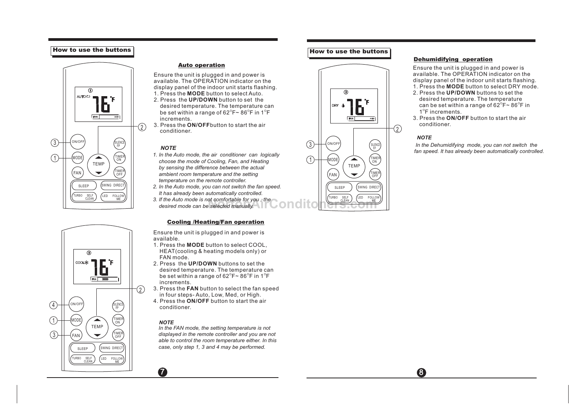#### *How to use the buttons*





#### *Auto operation*

Ensure the unit is plugged in and power is available. The OPERATION indicator on the display panel of the indoor unit starts flashing. 1. Press the **MODE** button to select Auto.

- 2. Press the **UP/DOWN** button to set the desired temperature. The temperature can be set within a range of  $62^{\circ}F - 86^{\circ}F$  in  $1^{\circ}F$ increments.
- 3. Press the **ON/OFF**button to start the air conditioner.

#### *NOTE*

- *1. In the Auto mode, the air conditioner can logically choose the mode of Cooling, Fan, and Heating by sensing the difference between the actual ambient room temperature and the setting temperature on the remote controller.*
- SLEEP (SWING DIRECT) | 2. In the Auto mode, you can not switch the fan speed. |  $|$  ((SLEEP) (SWING DIRECT)  *It has already been automatically controlled.*
	- *3. If the Auto mode is not comfortable for you , the desired mode can be selected manually.*

#### *Cooling /Heating/Fan operation*

Ensure the unit is plugged in and power is available.

- 1. Press the **MODE** button to select COOL, HEAT(cooling & heating models only) or FAN mode.
- 2. Press the **UP/DOWN** buttons to set the desired temperature. The temperature can be set within a range of  $62^{\circ}F \sim 86^{\circ}F$  in  $1^{\circ}F$ increments.
- 3. Press the **FAN** button to select the fan speed in four steps- Auto, Low, Med, or High.
- 4. Press the **ON/OFF** button to start the air conditioner.

#### *NOTE*

 *In the FAN mode, the setting temperature is not displayed in the remote controller and you are not able to control the room temperature either. In this case, only step 1, 3 and 4 may be performed.*

 $7$  8

## *How to use the buttons*



#### *Dehumidifying operation*

Ensure the unit is plugged in and power is available. The OPERATION indicator on the display panel of the indoor unit starts flashing. 1. Press the **MODE** button to select DRY mode.

- 2. Press the **UP/DOWN** buttons to set the desired temperature. The temperature can be set within a range of  $62^{\circ}$  F  $\sim$   $86^{\circ}$ F in 1<sup>°</sup>F increments.
- 3. Press the **ON/OFF** button to start the air conditioner.

#### *NOTE*

 *In the Dehumidifying mode, you can not switch the fan speed. It has already been automatically controlled.*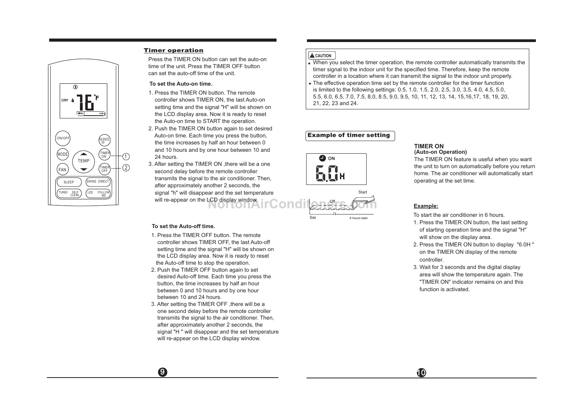

#### *Timer operation*

Press the TIMER ON button can set the auto-on time of the unit. Press the TIMER OFF button can set the auto-off time of the unit.

#### **To set the Auto-on time.**

- 1. Press the TIMER ON button. The remote controller shows TIMER ON, the last Auto-on setting time and the signal "H" will be shown on the LCD display area. Now it is ready to reset the Auto-on time to START the operation.
- 2. Push the TIMER ON button again to set desired Auto-on time. Each time you press the button, the time increases by half an hour between 0 and 10 hours and by one hour between 10 and 24 hours.
- 3. After setting the TIMER ON ,there will be a one second delay before the remote controller transmits the signal to the air conditioner. Then, after approximately another 2 seconds, the signal "h" will disappear and the set temperature will re-appear on the LCD display window.

#### **To set the Auto-off time.**

- 1. Press the TIMER OFF button. The remote controller shows TIMER OFF, the last Auto-off setting time and the signal "H" will be shown on the LCD display area. Now it is ready to reset the Auto-off time to stop the operation.
- 2. Push the TIMER OFF button again to set desired Auto-off time. Each time you press the button, the time increases by half an hour between 0 and 10 hours and by one hour between 10 and 24 hours.
- 3. After setting the TIMER OFF ,there will be a one second delay before the remote controller transmits the signal to the air conditioner. Then, after approximately another 2 seconds, the signal "H " will disappear and the set temperature will re-appear on the LCD display window.

## **A** CAUTION

 When you select the timer operation, the remote controller automatically transmits the timer signal to the indoor unit for the specified time. Therefore, keep the remote controller in a location where it can transmit the signal to the indoor unit properly.

 The effective operation time set by the remote controller for the timer function is limited to the following settings: 0.5, 1.0, 1.5, 2.0, 2.5, 3.0, 3.5, 4.0, 4.5, 5.0, 5.5, 6.0, 6.5, 7.0, 7.5, 8.0, 8.5, 9.0, 9.5, 10, 11, 12, 13, 14, 15,16,17, 18, 19, 20, 21, 22, 23 and 24.

# *Example of timer setting*



Set



#### **(Auto-on Operation) TIMER ON**

The TIMER ON feature is useful when you want the unit to turn on automatically before you return home. The air conditioner will automatically start operating at the set time.

## **Example:**

To start the air conditioner in 6 hours.

- 1. Press the TIMER ON button, the last setting of starting operation time and the signal "H" will show on the display area.
- 2. Press the TIMER ON button to display "6.0H " on the TIMER ON display of the remote controller.
- 3. Wait for 3 seconds and the digital display area will show the temperature again. The "TIMER ON" indicator remains on and this function is activated.

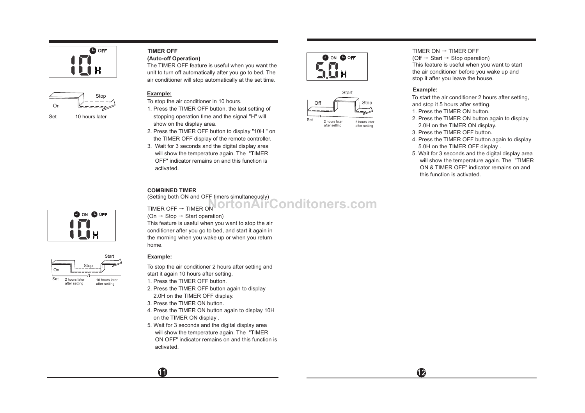



#### **(Auto-off Operation) TIMER OFF**

The TIMER OFF feature is useful when you want the unit to turn off automatically after you go to bed. The air conditioner will stop automatically at the set time.

#### **Example:**

- To stop the air conditioner in 10 hours.
- 1. Press the TIMER OFF button, the last setting of stopping operation time and the signal "H" will show on the display area.
- 2. Press the TIMER OFF button to display "10H " on the TIMER OFF display of the remote controller.
- 3. Wait for 3 seconds and the digital display area will show the temperature again. The "TIMER OFF" indicator remains on and this function is activated.





2 hours later after setting 5 hours later after setting

TIMER  $ON \rightarrow TIMER$  OFF (Off  $\rightarrow$  Start  $\rightarrow$  Stop operation) This feature is useful when you want to start the air conditioner before you wake up and stop it after you leave the house.

#### **Example:**

To start the air conditioner 2 hours after setting, and stop it 5 hours after setting.

- 1. Press the TIMER ON button.
- 2. Press the TIMER ON button again to display 2.0H on the TIMER ON display.
- 3. Press the TIMER OFF button.
- 4. Press the TIMER OFF button again to display 5.0H on the TIMER OFF display .
- 5. Wait for 3 seconds and the digital display area will show the temperature again. The "TIMER ON & TIMER OFF" indicator remains on and this function is activated.



# TIMER OFF → TIMER ON **NortonAirConditoners.com**

(On  $\rightarrow$  Stop  $\rightarrow$  Start operation) This feature is useful when you want to stop the air conditioner after you go to bed, and start it again in the morning when you wake up or when you return home.

## **Example:**

To stop the air conditioner 2 hours after setting and start it again 10 hours after setting.

- 1. Press the TIMER OFF button.
- 2. Press the TIMER OFF button again to display 2.0H on the TIMER OFF display.
- 3. Press the TIMER ON button.
- 4. Press the TIMER ON button again to display 10H on the TIMER ON display .
- 5. Wait for 3 seconds and the digital display area will show the temperature again. The "TIMER ON OFF" indicator remains on and this function is activated.